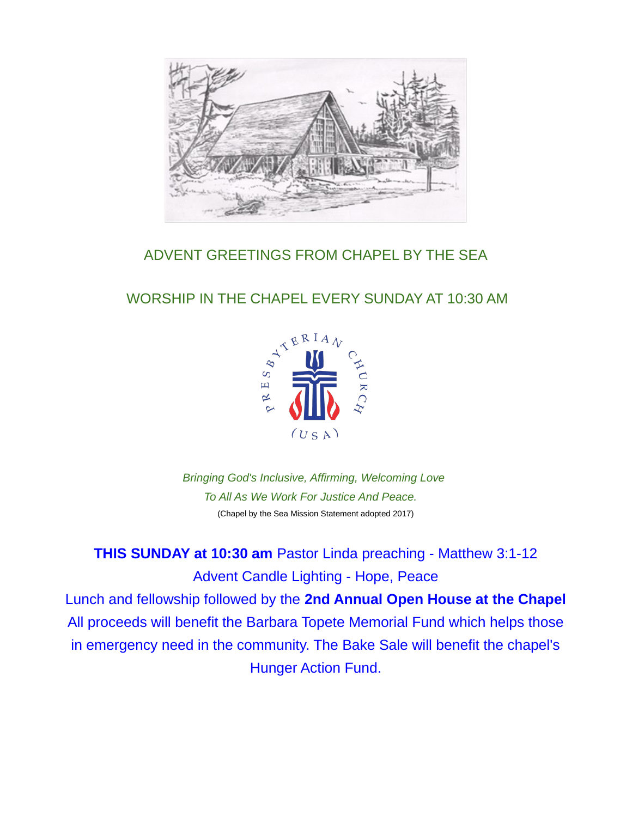

# ADVENT GREETINGS FROM CHAPEL BY THE SEA

# WORSHIP IN THE CHAPEL EVERY SUNDAY AT 10:30 AM



*Bringing God's Inclusive, Affirming, Welcoming Love To All As We Work For Justice And Peace.* (Chapel by the Sea Mission Statement adopted 2017)

**THIS SUNDAY at 10:30 am** Pastor Linda preaching - Matthew 3:1-12 Advent Candle Lighting - Hope, Peace Lunch and fellowship followed by the **2nd Annual Open House at the Chapel** All proceeds will benefit the Barbara Topete Memorial Fund which helps those in emergency need in the community. The Bake Sale will benefit the chapel's

Hunger Action Fund.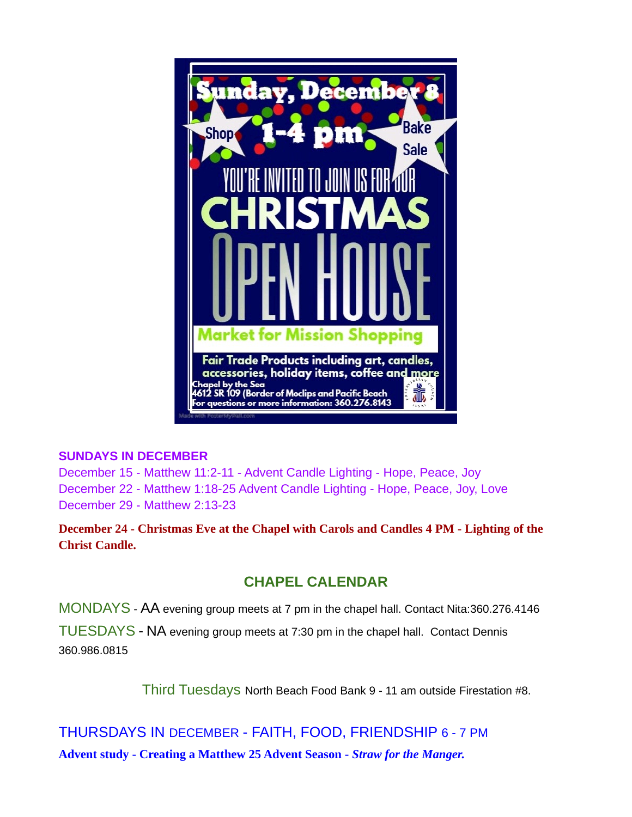

#### **SUNDAYS IN DECEMBER**

December 15 - Matthew 11:2-11 - Advent Candle Lighting - Hope, Peace, Joy December 22 - Matthew 1:18-25 Advent Candle Lighting - Hope, Peace, Joy, Love December 29 - Matthew 2:13-23

**December 24 - Christmas Eve at the Chapel with Carols and Candles 4 PM - Lighting of the Christ Candle.**

## **CHAPEL CALENDAR**

MONDAYS - AA evening group meets at 7 pm in the chapel hall. Contact Nita:360.276.4146

TUESDAYS - NA evening group meets at 7:30 pm in the chapel hall. Contact Dennis 360.986.0815

Third Tuesdays North Beach Food Bank 9 - 11 am outside Firestation #8.

THURSDAYS IN DECEMBER - FAITH, FOOD, FRIENDSHIP 6 - 7 PM **Advent study - Creating a Matthew 25 Advent Season -** *Straw for the Manger.*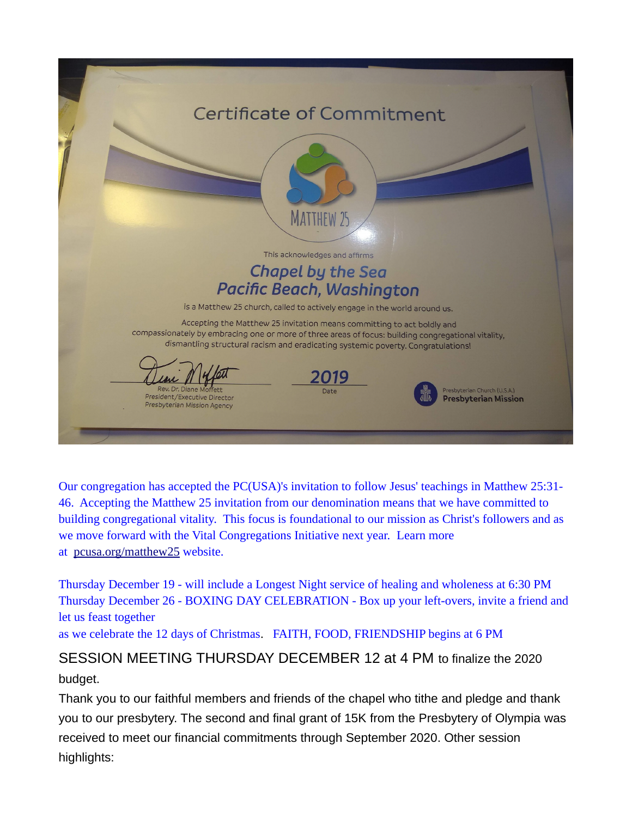

Our congregation has accepted the PC(USA)'s invitation to follow Jesus' teachings in Matthew 25:31- 46. Accepting the Matthew 25 invitation from our denomination means that we have committed to building congregational vitality. This focus is foundational to our mission as Christ's followers and as we move forward with the Vital Congregations Initiative next year. Learn more at [pcusa.org/matthew25](http://pcusa.org/matthew25) website.

Thursday December 19 - will include a Longest Night service of healing and wholeness at 6:30 PM Thursday December 26 - BOXING DAY CELEBRATION - Box up your left-overs, invite a friend and let us feast together

as we celebrate the 12 days of Christmas. FAITH, FOOD, FRIENDSHIP begins at 6 PM

# SESSION MEETING THURSDAY DECEMBER 12 at 4 PM to finalize the 2020 budget.

Thank you to our faithful members and friends of the chapel who tithe and pledge and thank you to our presbytery. The second and final grant of 15K from the Presbytery of Olympia was received to meet our financial commitments through September 2020. Other session highlights: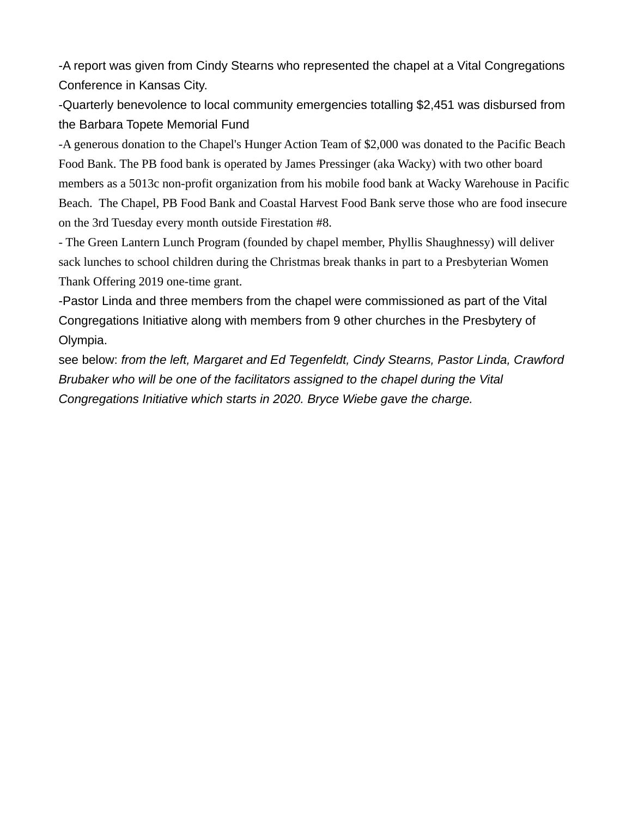-A report was given from Cindy Stearns who represented the chapel at a Vital Congregations Conference in Kansas City.

-Quarterly benevolence to local community emergencies totalling \$2,451 was disbursed from the Barbara Topete Memorial Fund

-A generous donation to the Chapel's Hunger Action Team of \$2,000 was donated to the Pacific Beach Food Bank. The PB food bank is operated by James Pressinger (aka Wacky) with two other board members as a 5013c non-profit organization from his mobile food bank at Wacky Warehouse in Pacific Beach. The Chapel, PB Food Bank and Coastal Harvest Food Bank serve those who are food insecure on the 3rd Tuesday every month outside Firestation #8.

- The Green Lantern Lunch Program (founded by chapel member, Phyllis Shaughnessy) will deliver sack lunches to school children during the Christmas break thanks in part to a Presbyterian Women Thank Offering 2019 one-time grant.

-Pastor Linda and three members from the chapel were commissioned as part of the Vital Congregations Initiative along with members from 9 other churches in the Presbytery of Olympia.

see below: *from the left, Margaret and Ed Tegenfeldt, Cindy Stearns, Pastor Linda, Crawford Brubaker who will be one of the facilitators assigned to the chapel during the Vital Congregations Initiative which starts in 2020. Bryce Wiebe gave the charge.*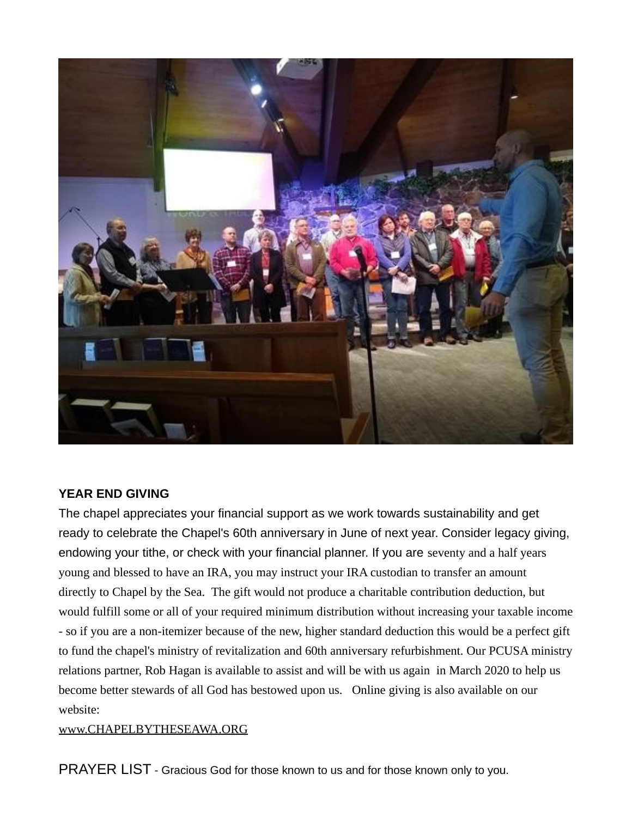

#### **YEAR END GIVING**

The chapel appreciates your financial support as we work towards sustainability and get ready to celebrate the Chapel's 60th anniversary in June of next year. Consider legacy giving, endowing your tithe, or check with your financial planner. If you are seventy and a half years young and blessed to have an IRA, you may instruct your IRA custodian to transfer an amount directly to Chapel by the Sea. The gift would not produce a charitable contribution deduction, but would fulfill some or all of your required minimum distribution without increasing your taxable income - so if you are a non-itemizer because of the new, higher standard deduction this would be a perfect gift to fund the chapel's ministry of revitalization and 60th anniversary refurbishment. Our PCUSA ministry relations partner, Rob Hagan is available to assist and will be with us again in March 2020 to help us become better stewards of all God has bestowed upon us. Online giving is also available on our website:

#### [www.CHAPELBYTHESEAWA.ORG](http://www.CHAPELBYTHESEAWA.ORG/)

PRAYER LIST - Gracious God for those known to us and for those known only to you.